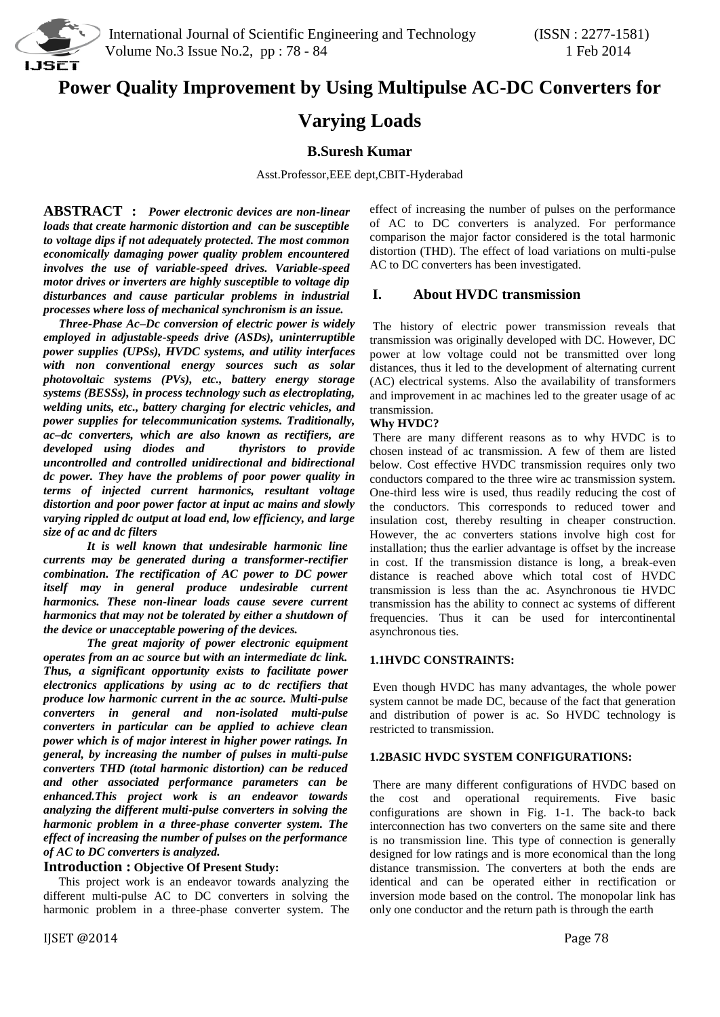

# **Power Quality Improvement by Using Multipulse AC-DC Converters for**

# **Varying Loads**

# **B.Suresh Kumar**

Asst.Professor,EEE dept,CBIT-Hyderabad

**ABSTRACT :** *Power electronic devices are non-linear loads that create harmonic distortion and can be susceptible to voltage dips if not adequately protected. The most common economically damaging power quality problem encountered involves the use of variable-speed drives. Variable-speed motor drives or inverters are highly susceptible to voltage dip disturbances and cause particular problems in industrial processes where loss of mechanical synchronism is an issue.* 

 *Three-Phase Ac–Dc conversion of electric power is widely employed in adjustable-speeds drive (ASDs), uninterruptible power supplies (UPSs), HVDC systems, and utility interfaces with non conventional energy sources such as solar photovoltaic systems (PVs), etc., battery energy storage systems (BESSs), in process technology such as electroplating, welding units, etc., battery charging for electric vehicles, and power supplies for telecommunication systems. Traditionally, ac–dc converters, which are also known as rectifiers, are developed using diodes and uncontrolled and controlled unidirectional and bidirectional dc power. They have the problems of poor power quality in terms of injected current harmonics, resultant voltage distortion and poor power factor at input ac mains and slowly varying rippled dc output at load end, low efficiency, and large size of ac and dc filters* 

*It is well known that undesirable harmonic line currents may be generated during a transformer-rectifier combination. The rectification of AC power to DC power itself may in general produce undesirable current harmonics. These non-linear loads cause severe current harmonics that may not be tolerated by either a shutdown of the device or unacceptable powering of the devices.*

*The great majority of power electronic equipment operates from an ac source but with an intermediate dc link. Thus, a significant opportunity exists to facilitate power electronics applications by using ac to dc rectifiers that produce low harmonic current in the ac source. Multi-pulse converters in general and non-isolated multi-pulse converters in particular can be applied to achieve clean power which is of major interest in higher power ratings. In general, by increasing the number of pulses in multi-pulse converters THD (total harmonic distortion) can be reduced and other associated performance parameters can be enhanced.This project work is an endeavor towards analyzing the different multi-pulse converters in solving the harmonic problem in a three-phase converter system. The effect of increasing the number of pulses on the performance of AC to DC converters is analyzed.*

# **Introduction : Objective Of Present Study:**

 This project work is an endeavor towards analyzing the different multi-pulse AC to DC converters in solving the harmonic problem in a three-phase converter system. The effect of increasing the number of pulses on the performance of AC to DC converters is analyzed. For performance comparison the major factor considered is the total harmonic distortion (THD). The effect of load variations on multi-pulse AC to DC converters has been investigated.

# **I. About HVDC transmission**

The history of electric power transmission reveals that transmission was originally developed with DC. However, DC power at low voltage could not be transmitted over long distances, thus it led to the development of alternating current (AC) electrical systems. Also the availability of transformers and improvement in ac machines led to the greater usage of ac transmission.

# **Why HVDC?**

There are many different reasons as to why HVDC is to chosen instead of ac transmission. A few of them are listed below. Cost effective HVDC transmission requires only two conductors compared to the three wire ac transmission system. One-third less wire is used, thus readily reducing the cost of the conductors. This corresponds to reduced tower and insulation cost, thereby resulting in cheaper construction. However, the ac converters stations involve high cost for installation; thus the earlier advantage is offset by the increase in cost. If the transmission distance is long, a break-even distance is reached above which total cost of HVDC transmission is less than the ac. Asynchronous tie HVDC transmission has the ability to connect ac systems of different frequencies. Thus it can be used for intercontinental asynchronous ties.

# **1.1HVDC CONSTRAINTS:**

Even though HVDC has many advantages, the whole power system cannot be made DC, because of the fact that generation and distribution of power is ac. So HVDC technology is restricted to transmission.

#### **1.2BASIC HVDC SYSTEM CONFIGURATIONS:**

There are many different configurations of HVDC based on the cost and operational requirements. Five basic configurations are shown in Fig. 1-1. The back-to back interconnection has two converters on the same site and there is no transmission line. This type of connection is generally designed for low ratings and is more economical than the long distance transmission. The converters at both the ends are identical and can be operated either in rectification or inversion mode based on the control. The monopolar link has only one conductor and the return path is through the earth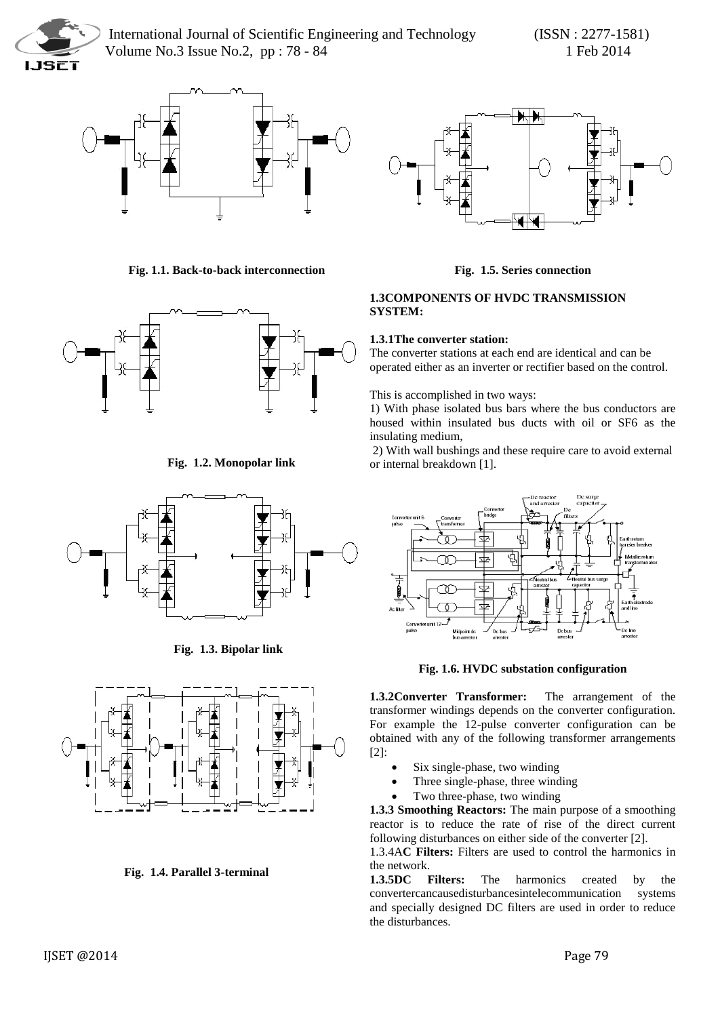



 **Fig. 1.1. Back-to-back interconnection**



 **Fig. 1.2. Monopolar link**



 **Fig. 1.3. Bipolar link**



**Fig. 1.4. Parallel 3-terminal**



# **Fig. 1.5. Series connection**

# **1.3COMPONENTS OF HVDC TRANSMISSION SYSTEM:**

# **1.3.1The converter station:**

The converter stations at each end are identical and can be operated either as an inverter or rectifier based on the control.

This is accomplished in two ways:

1) With phase isolated bus bars where the bus conductors are housed within insulated bus ducts with oil or SF6 as the insulating medium,

2) With wall bushings and these require care to avoid external or internal breakdown [1].



**Fig. 1.6. HVDC substation configuration** 

**1.3.2Converter Transformer:** The arrangement of the transformer windings depends on the converter configuration. For example the 12-pulse converter configuration can be obtained with any of the following transformer arrangements [2]:

- Six single-phase, two winding
- Three single-phase, three winding
- Two three-phase, two winding

**1.3.3 Smoothing Reactors:** The main purpose of a smoothing reactor is to reduce the rate of rise of the direct current following disturbances on either side of the converter [2].

1.3.4A**C Filters:** Filters are used to control the harmonics in the network.

**1.3.5DC Filters:** The harmonics created by the convertercancausedisturbancesintelecommunication systems and specially designed DC filters are used in order to reduce the disturbances.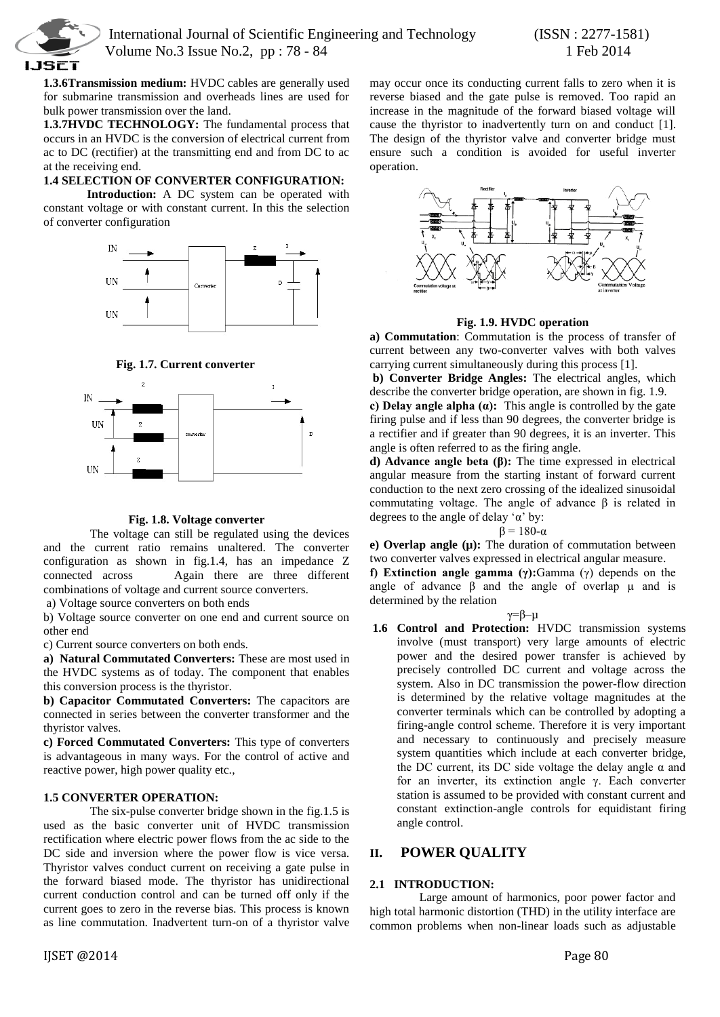

**1.3.6Transmission medium:** HVDC cables are generally used for submarine transmission and overheads lines are used for

bulk power transmission over the land. **1.3.7HVDC TECHNOLOGY:** The fundamental process that occurs in an HVDC is the conversion of electrical current from ac to DC (rectifier) at the transmitting end and from DC to ac at the receiving end.

### **1.4 SELECTION OF CONVERTER CONFIGURATION:**

**Introduction:** A DC system can be operated with constant voltage or with constant current. In this the selection of converter configuration



**Fig. 1.7. Current converter**



# **Fig. 1.8. Voltage converter**

The voltage can still be regulated using the devices and the current ratio remains unaltered. The converter configuration as shown in fig.1.4, has an impedance Z connected across Again there are three different combinations of voltage and current source converters.

a) Voltage source converters on both ends

b) Voltage source converter on one end and current source on other end

c) Current source converters on both ends.

**a) Natural Commutated Converters:** These are most used in the HVDC systems as of today. The component that enables this conversion process is the thyristor.

**b) Capacitor Commutated Converters:** The capacitors are connected in series between the converter transformer and the thyristor valves.

**c) Forced Commutated Converters:** This type of converters is advantageous in many ways. For the control of active and reactive power, high power quality etc.,

# **1.5 CONVERTER OPERATION:**

The six-pulse converter bridge shown in the fig.1.5 is used as the basic converter unit of HVDC transmission rectification where electric power flows from the ac side to the DC side and inversion where the power flow is vice versa. Thyristor valves conduct current on receiving a gate pulse in the forward biased mode. The thyristor has unidirectional current conduction control and can be turned off only if the current goes to zero in the reverse bias. This process is known as line commutation. Inadvertent turn-on of a thyristor valve

may occur once its conducting current falls to zero when it is reverse biased and the gate pulse is removed. Too rapid an increase in the magnitude of the forward biased voltage will cause the thyristor to inadvertently turn on and conduct [1]. The design of the thyristor valve and converter bridge must ensure such a condition is avoided for useful inverter operation.



#### **Fig. 1.9. HVDC operation**

**a) Commutation**: Commutation is the process of transfer of current between any two-converter valves with both valves carrying current simultaneously during this process [1].

**b) Converter Bridge Angles:** The electrical angles, which describe the converter bridge operation, are shown in fig. 1.9.

**c) Delay angle alpha (α):** This angle is controlled by the gate firing pulse and if less than 90 degrees, the converter bridge is a rectifier and if greater than 90 degrees, it is an inverter. This angle is often referred to as the firing angle.

**d) Advance angle beta (β):** The time expressed in electrical angular measure from the starting instant of forward current conduction to the next zero crossing of the idealized sinusoidal commutating voltage. The angle of advance β is related in degrees to the angle of delay 'α' by:

#### $β = 180-α$

**e) Overlap angle (µ):** The duration of commutation between two converter valves expressed in electrical angular measure.

**f) Extinction angle gamma (γ):**Gamma (γ) depends on the angle of advance  $\beta$  and the angle of overlap  $\mu$  and is determined by the relation

#### γ=β–µ

**1.6 Control and Protection:** HVDC transmission systems involve (must transport) very large amounts of electric power and the desired power transfer is achieved by precisely controlled DC current and voltage across the system. Also in DC transmission the power-flow direction is determined by the relative voltage magnitudes at the converter terminals which can be controlled by adopting a firing-angle control scheme. Therefore it is very important and necessary to continuously and precisely measure system quantities which include at each converter bridge, the DC current, its DC side voltage the delay angle  $\alpha$  and for an inverter, its extinction angle γ. Each converter station is assumed to be provided with constant current and constant extinction-angle controls for equidistant firing angle control.

# **II. POWER QUALITY**

# **2.1 INTRODUCTION:**

 Large amount of harmonics, poor power factor and high total harmonic distortion (THD) in the utility interface are common problems when non-linear loads such as adjustable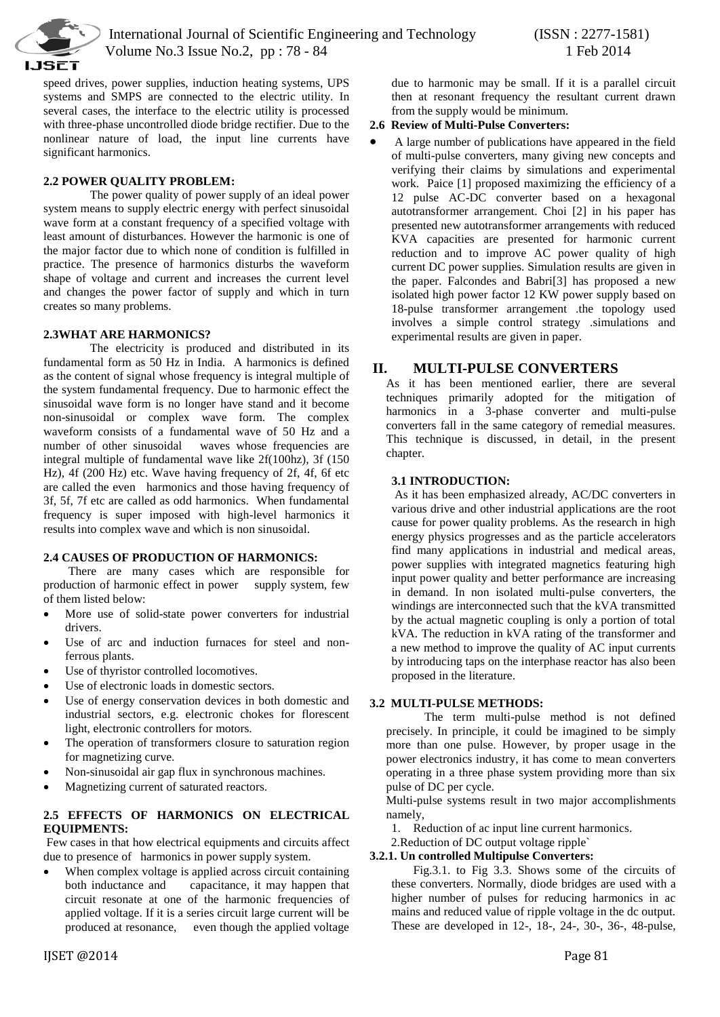

speed drives, power supplies, induction heating systems, UPS systems and SMPS are connected to the electric utility. In several cases, the interface to the electric utility is processed with three-phase uncontrolled diode bridge rectifier. Due to the nonlinear nature of load, the input line currents have significant harmonics.

# **2.2 POWER QUALITY PROBLEM:**

The power quality of power supply of an ideal power system means to supply electric energy with perfect sinusoidal wave form at a constant frequency of a specified voltage with least amount of disturbances. However the harmonic is one of the major factor due to which none of condition is fulfilled in practice. The presence of harmonics disturbs the waveform shape of voltage and current and increases the current level and changes the power factor of supply and which in turn creates so many problems.

#### **2.3WHAT ARE HARMONICS?**

The electricity is produced and distributed in its fundamental form as 50 Hz in India. A harmonics is defined as the content of signal whose frequency is integral multiple of the system fundamental frequency. Due to harmonic effect the sinusoidal wave form is no longer have stand and it become non-sinusoidal or complex wave form. The complex waveform consists of a fundamental wave of 50 Hz and a number of other sinusoidal waves whose frequencies are integral multiple of fundamental wave like 2f(100hz), 3f (150 Hz), 4f (200 Hz) etc. Wave having frequency of 2f, 4f, 6f etc are called the even harmonics and those having frequency of 3f, 5f, 7f etc are called as odd harmonics. When fundamental frequency is super imposed with high-level harmonics it results into complex wave and which is non sinusoidal.

#### **2.4 CAUSES OF PRODUCTION OF HARMONICS:**

There are many cases which are responsible for production of harmonic effect in power supply system, few of them listed below:

- More use of solid-state power converters for industrial drivers.
- Use of arc and induction furnaces for steel and nonferrous plants.
- Use of thyristor controlled locomotives.
- Use of electronic loads in domestic sectors.
- Use of energy conservation devices in both domestic and industrial sectors, e.g. electronic chokes for florescent light, electronic controllers for motors.
- The operation of transformers closure to saturation region for magnetizing curve.
- Non-sinusoidal air gap flux in synchronous machines.
- Magnetizing current of saturated reactors.

# **2.5 EFFECTS OF HARMONICS ON ELECTRICAL EQUIPMENTS:**

Few cases in that how electrical equipments and circuits affect due to presence of harmonics in power supply system.

 When complex voltage is applied across circuit containing both inductance and capacitance, it may happen that circuit resonate at one of the harmonic frequencies of applied voltage. If it is a series circuit large current will be produced at resonance, even though the applied voltage

### **2.6 Review of Multi-Pulse Converters:**

 A large number of publications have appeared in the field of multi-pulse converters, many giving new concepts and verifying their claims by simulations and experimental work. Paice [1] proposed maximizing the efficiency of a 12 pulse AC-DC converter based on a hexagonal autotransformer arrangement. Choi [2] in his paper has presented new autotransformer arrangements with reduced KVA capacities are presented for harmonic current reduction and to improve AC power quality of high current DC power supplies. Simulation results are given in the paper. Falcondes and Babri[3] has proposed a new isolated high power factor 12 KW power supply based on 18-pulse transformer arrangement .the topology used involves a simple control strategy .simulations and experimental results are given in paper.

# **II. MULTI-PULSE CONVERTERS**

As it has been mentioned earlier, there are several techniques primarily adopted for the mitigation of harmonics in a 3-phase converter and multi-pulse converters fall in the same category of remedial measures. This technique is discussed, in detail, in the present chapter.

# **3.1 INTRODUCTION:**

As it has been emphasized already, AC/DC converters in various drive and other industrial applications are the root cause for power quality problems. As the research in high energy physics progresses and as the particle accelerators find many applications in industrial and medical areas, power supplies with integrated magnetics featuring high input power quality and better performance are increasing in demand. In non isolated multi-pulse converters, the windings are interconnected such that the kVA transmitted by the actual magnetic coupling is only a portion of total kVA. The reduction in kVA rating of the transformer and a new method to improve the quality of AC input currents by introducing taps on the interphase reactor has also been proposed in the literature.

#### **3.2 MULTI-PULSE METHODS:**

The term multi-pulse method is not defined precisely. In principle, it could be imagined to be simply more than one pulse. However, by proper usage in the power electronics industry, it has come to mean converters operating in a three phase system providing more than six pulse of DC per cycle.

Multi-pulse systems result in two major accomplishments namely,

1. Reduction of ac input line current harmonics.

2.Reduction of DC output voltage ripple`

#### **3.2.1. Un controlled Multipulse Converters:**

Fig.3.1. to Fig 3.3. Shows some of the circuits of these converters. Normally, diode bridges are used with a higher number of pulses for reducing harmonics in ac mains and reduced value of ripple voltage in the dc output. These are developed in 12-, 18-, 24-, 30-, 36-, 48-pulse,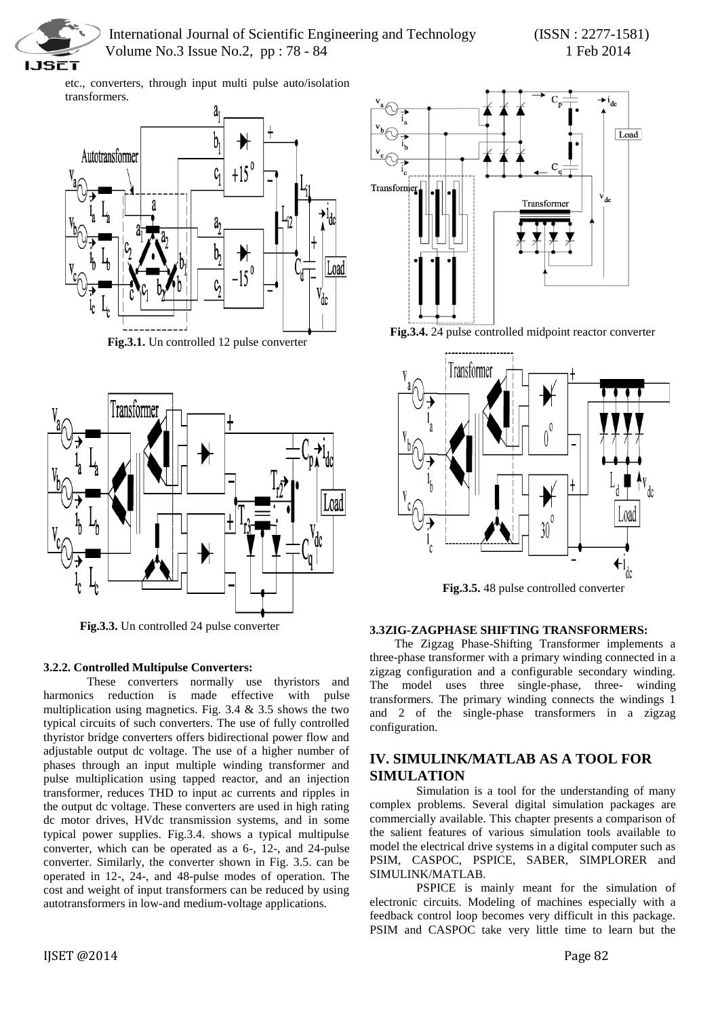

etc., converters, through input multi pulse auto/isolation transformers.



**Fig.3.1.** Un controlled 12 pulse converter



 **Fig.3.3.** Un controlled 24 pulse converter

# **3.2.2. Controlled Multipulse Converters:**

These converters normally use thyristors and harmonics reduction is made effective with pulse multiplication using magnetics. Fig.  $3.4 \& 3.5$  shows the two typical circuits of such converters. The use of fully controlled thyristor bridge converters offers bidirectional power flow and adjustable output dc voltage. The use of a higher number of phases through an input multiple winding transformer and pulse multiplication using tapped reactor, and an injection transformer, reduces THD to input ac currents and ripples in the output dc voltage. These converters are used in high rating dc motor drives, HVdc transmission systems, and in some typical power supplies. Fig.3.4. shows a typical multipulse converter, which can be operated as a 6-, 12-, and 24-pulse converter. Similarly, the converter shown in Fig. 3.5. can be operated in 12-, 24-, and 48-pulse modes of operation. The cost and weight of input transformers can be reduced by using autotransformers in low-and medium-voltage applications.







**Fig.3.5.** 48 pulse controlled converter

# **3.3ZIG-ZAGPHASE SHIFTING TRANSFORMERS:**

The Zigzag Phase-Shifting Transformer implements a three-phase transformer with a primary winding connected in a zigzag configuration and a configurable secondary winding. The model uses three single-phase, three- winding transformers. The primary winding connects the windings 1 and 2 of the single-phase transformers in a zigzag configuration.

# **IV. SIMULINK/MATLAB AS A TOOL FOR SIMULATION**

Simulation is a tool for the understanding of many complex problems. Several digital simulation packages are commercially available. This chapter presents a comparison of the salient features of various simulation tools available to model the electrical drive systems in a digital computer such as PSIM, CASPOC, PSPICE, SABER, SIMPLORER and SIMULINK/MATLAB.

PSPICE is mainly meant for the simulation of electronic circuits. Modeling of machines especially with a feedback control loop becomes very difficult in this package. PSIM and CASPOC take very little time to learn but the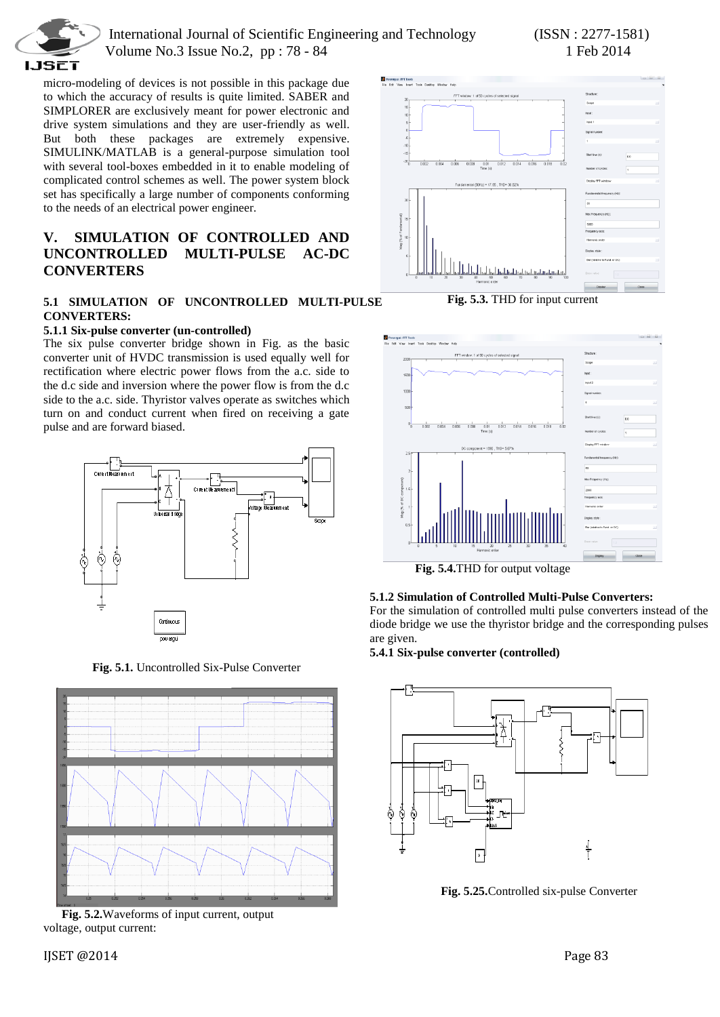

micro-modeling of devices is not possible in this package due to which the accuracy of results is quite limited. SABER and SIMPLORER are exclusively meant for power electronic and drive system simulations and they are user-friendly as well. But both these packages are extremely expensive. SIMULINK/MATLAB is a general-purpose simulation tool with several tool-boxes embedded in it to enable modeling of complicated control schemes as well. The power system block set has specifically a large number of components conforming to the needs of an electrical power engineer.

# **V. SIMULATION OF CONTROLLED AND UNCONTROLLED MULTI-PULSE AC-DC CONVERTERS**

# **5.1 SIMULATION OF UNCONTROLLED MULTI-PULSE CONVERTERS:**

# **5.1.1 Six-pulse converter (un-controlled)**

The six pulse converter bridge shown in Fig. as the basic converter unit of HVDC transmission is used equally well for rectification where electric power flows from the a.c. side to the d.c side and inversion where the power flow is from the d.c side to the a.c. side. Thyristor valves operate as switches which turn on and conduct current when fired on receiving a gate pulse and are forward biased.



**Fig. 5.1.** Uncontrolled Six-Pulse Converter



 **Fig. 5.2.**Waveforms of input current, output voltage, output current:



**Fig. 5.3.** THD for input current



 **Fig. 5.4.**THD for output voltage

# **5.1.2 Simulation of Controlled Multi-Pulse Converters:**

For the simulation of controlled multi pulse converters instead of the diode bridge we use the thyristor bridge and the corresponding pulses are given.

#### **5.4.1 Six-pulse converter (controlled)**



**Fig. 5.25.**Controlled six-pulse Converter